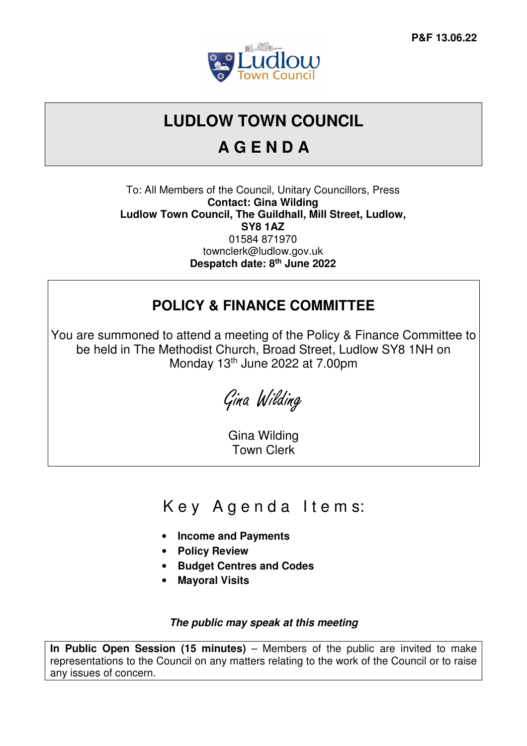

# **LUDLOW TOWN COUNCIL**

# **A G E N D A**

To: All Members of the Council, Unitary Councillors, Press **Contact: Gina Wilding Ludlow Town Council, The Guildhall, Mill Street, Ludlow, SY8 1AZ**  01584 871970 townclerk@ludlow.gov.uk **Despatch date: 8th June 2022** 

### **POLICY & FINANCE COMMITTEE**

You are summoned to attend a meeting of the Policy & Finance Committee to be held in The Methodist Church, Broad Street, Ludlow SY8 1NH on Monday 13<sup>th</sup> June 2022 at 7.00pm

Gina Wilding

Gina Wilding Town Clerk

# Key Agenda Items:

- **Income and Payments**
- **Policy Review**
- **Budget Centres and Codes**
- **Mayoral Visits**

#### **The public may speak at this meeting**

**In Public Open Session (15 minutes)** – Members of the public are invited to make representations to the Council on any matters relating to the work of the Council or to raise any issues of concern.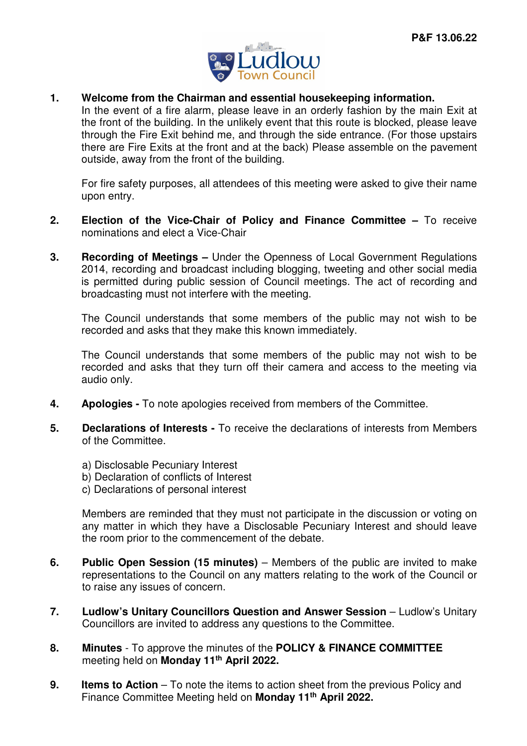

**1. Welcome from the Chairman and essential housekeeping information.** 

In the event of a fire alarm, please leave in an orderly fashion by the main Exit at the front of the building. In the unlikely event that this route is blocked, please leave through the Fire Exit behind me, and through the side entrance. (For those upstairs there are Fire Exits at the front and at the back) Please assemble on the pavement outside, away from the front of the building.

For fire safety purposes, all attendees of this meeting were asked to give their name upon entry.

- **2. Election of the Vice-Chair of Policy and Finance Committee** To receive nominations and elect a Vice-Chair
- **3. Recording of Meetings** Under the Openness of Local Government Regulations 2014, recording and broadcast including blogging, tweeting and other social media is permitted during public session of Council meetings. The act of recording and broadcasting must not interfere with the meeting.

The Council understands that some members of the public may not wish to be recorded and asks that they make this known immediately.

The Council understands that some members of the public may not wish to be recorded and asks that they turn off their camera and access to the meeting via audio only.

- **4. Apologies** To note apologies received from members of the Committee.
- **5. Declarations of Interests** To receive the declarations of interests from Members of the Committee.
	- a) Disclosable Pecuniary Interest
	- b) Declaration of conflicts of Interest
	- c) Declarations of personal interest

Members are reminded that they must not participate in the discussion or voting on any matter in which they have a Disclosable Pecuniary Interest and should leave the room prior to the commencement of the debate.

- **6.** Public Open Session (15 minutes) Members of the public are invited to make representations to the Council on any matters relating to the work of the Council or to raise any issues of concern.
- **7. Ludlow's Unitary Councillors Question and Answer Session Ludlow's Unitary** Councillors are invited to address any questions to the Committee.
- **8. Minutes**  To approve the minutes of the **POLICY & FINANCE COMMITTEE**  meeting held on **Monday 11th April 2022.**
- **9.** Items to Action To note the items to action sheet from the previous Policy and Finance Committee Meeting held on **Monday 11th April 2022.**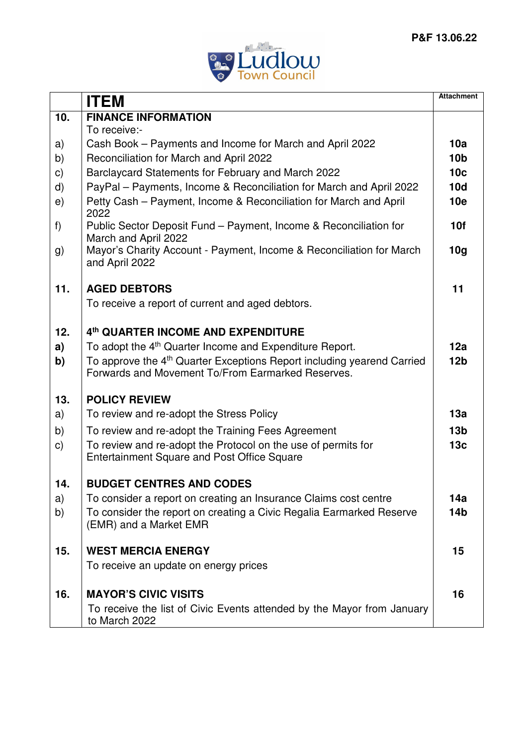

|               | <b>ITEM</b>                                                                                  | <b>Attachment</b> |
|---------------|----------------------------------------------------------------------------------------------|-------------------|
| 10.           | <b>FINANCE INFORMATION</b>                                                                   |                   |
|               | To receive:-                                                                                 |                   |
| a)            | Cash Book - Payments and Income for March and April 2022                                     | 10a               |
| b)            | Reconciliation for March and April 2022                                                      | 10 <sub>b</sub>   |
| $\mathsf{c})$ | Barclaycard Statements for February and March 2022                                           | 10 <sub>c</sub>   |
| d)            | PayPal - Payments, Income & Reconciliation for March and April 2022                          | 10d               |
| e)            | Petty Cash - Payment, Income & Reconciliation for March and April<br>2022                    | 10 <sub>e</sub>   |
| f)            | Public Sector Deposit Fund - Payment, Income & Reconciliation for                            | 10f               |
|               | March and April 2022<br>Mayor's Charity Account - Payment, Income & Reconciliation for March | 10 <sub>g</sub>   |
| g)            | and April 2022                                                                               |                   |
| 11.           | <b>AGED DEBTORS</b>                                                                          | 11                |
|               | To receive a report of current and aged debtors.                                             |                   |
|               |                                                                                              |                   |
| 12.           | 4th QUARTER INCOME AND EXPENDITURE                                                           |                   |
| a)            | To adopt the 4 <sup>th</sup> Quarter Income and Expenditure Report.                          | 12a               |
| b)            | To approve the 4 <sup>th</sup> Quarter Exceptions Report including yearend Carried           | 12 <sub>b</sub>   |
|               | Forwards and Movement To/From Earmarked Reserves.                                            |                   |
| 13.           | <b>POLICY REVIEW</b>                                                                         |                   |
| a)            | To review and re-adopt the Stress Policy                                                     | 13a               |
| b)            | To review and re-adopt the Training Fees Agreement                                           | 13 <sub>b</sub>   |
| C)            | To review and re-adopt the Protocol on the use of permits for                                | 13 <sub>c</sub>   |
|               | <b>Entertainment Square and Post Office Square</b>                                           |                   |
| 14            | <b>BUDGET CENTRES AND CODES</b>                                                              |                   |
| a)            | To consider a report on creating an Insurance Claims cost centre                             | 14a               |
| b)            | To consider the report on creating a Civic Regalia Earmarked Reserve                         | 14 <sub>b</sub>   |
|               | (EMR) and a Market EMR                                                                       |                   |
| 15.           | <b>WEST MERCIA ENERGY</b>                                                                    | 15                |
|               | To receive an update on energy prices                                                        |                   |
|               | <b>MAYOR'S CIVIC VISITS</b>                                                                  | 16                |
| 16.           |                                                                                              |                   |
|               | To receive the list of Civic Events attended by the Mayor from January<br>to March 2022      |                   |